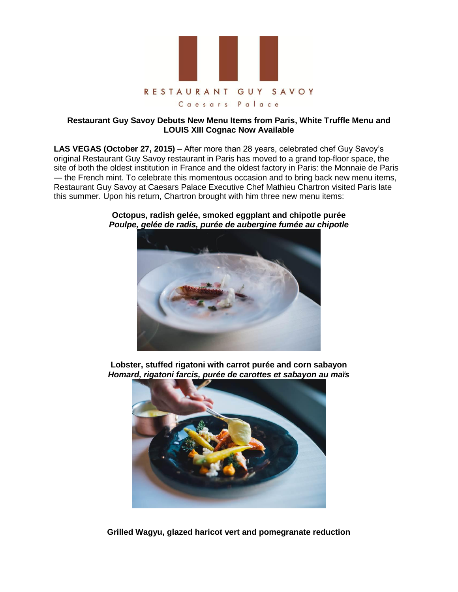

## **Restaurant Guy Savoy Debuts New Menu Items from Paris, White Truffle Menu and LOUIS XIII Cognac Now Available**

**LAS VEGAS (October 27, 2015)** – After more than 28 years, celebrated chef Guy Savoy's original Restaurant Guy Savoy restaurant in Paris has moved to a grand top-floor space, the site of both the oldest institution in France and the oldest factory in Paris: the Monnaie de Paris — the French mint. To celebrate this momentous occasion and to bring back new menu items, Restaurant Guy Savoy at Caesars Palace Executive Chef Mathieu Chartron visited Paris late this summer. Upon his return, Chartron brought with him three new menu items:



**Octopus, radish gelée, smoked eggplant and chipotle purée**  *Poulpe, gelée de radis, purée de aubergine fumée au chipotle* 

**Lobster, stuffed rigatoni with carrot purée and corn sabayon** *Homard, rigatoni farcis, purée de carottes et sabayon au maïs*



**Grilled Wagyu, glazed haricot vert and pomegranate reduction**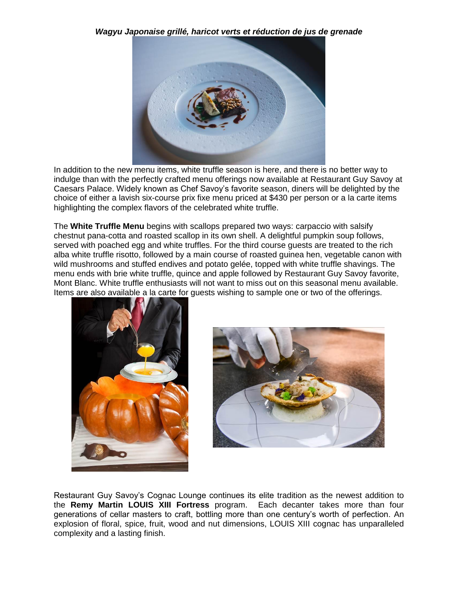*Wagyu Japonaise grillé, haricot verts et réduction de jus de grenade* 



In addition to the new menu items, white truffle season is here, and there is no better way to indulge than with the perfectly crafted menu offerings now available at Restaurant Guy Savoy at Caesars Palace. Widely known as Chef Savoy's favorite season, diners will be delighted by the choice of either a lavish six-course prix fixe menu priced at \$430 per person or a la carte items highlighting the complex flavors of the celebrated white truffle.

The **White Truffle Menu** begins with scallops prepared two ways: carpaccio with salsify chestnut pana-cotta and roasted scallop in its own shell. A delightful pumpkin soup follows, served with poached egg and white truffles. For the third course guests are treated to the rich alba white truffle risotto, followed by a main course of roasted guinea hen, vegetable canon with wild mushrooms and stuffed endives and potato gelée, topped with white truffle shavings. The menu ends with brie white truffle, quince and apple followed by Restaurant Guy Savoy favorite, Mont Blanc. White truffle enthusiasts will not want to miss out on this seasonal menu available. Items are also available a la carte for guests wishing to sample one or two of the offerings.





Restaurant Guy Savoy's Cognac Lounge continues its elite tradition as the newest addition to the **Remy Martin LOUIS XIII Fortress** program. Each decanter takes more than four generations of cellar masters to craft, bottling more than one century's worth of perfection. An explosion of floral, spice, fruit, wood and nut dimensions, LOUIS XIII cognac has unparalleled complexity and a lasting finish.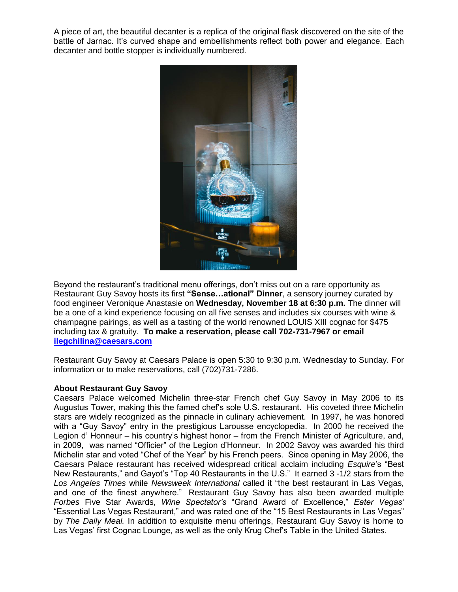A piece of art, the beautiful decanter is a replica of the original flask discovered on the site of the battle of Jarnac. It's curved shape and embellishments reflect both power and elegance. Each decanter and bottle stopper is individually numbered.



Beyond the restaurant's traditional menu offerings, don't miss out on a rare opportunity as Restaurant Guy Savoy hosts its first **"Sense…ational" Dinner**, a sensory journey curated by food engineer Veronique Anastasie on **Wednesday, November 18 at 6:30 p.m.** The dinner will be a one of a kind experience focusing on all five senses and includes six courses with wine & champagne pairings, as well as a tasting of the world renowned LOUIS XIII cognac for \$475 including tax & gratuity. **To make a reservation, please call 702-731-7967 or email [ilegchilina@caesars.com](mailto:ilegchilina@caesars.com)**

Restaurant Guy Savoy at Caesars Palace is open 5:30 to 9:30 p.m. Wednesday to Sunday. For information or to make reservations, call (702)731-7286.

## **About Restaurant Guy Savoy**

Caesars Palace welcomed Michelin three-star French chef Guy Savoy in May 2006 to its Augustus Tower, making this the famed chef's sole U.S. restaurant. His coveted three Michelin stars are widely recognized as the pinnacle in culinary achievement. In 1997, he was honored with a "Guy Savoy" entry in the prestigious Larousse encyclopedia. In 2000 he received the Legion d' Honneur – his country's highest honor – from the French Minister of Agriculture, and, in 2009, was named "Officier" of the Legion d'Honneur. In 2002 Savoy was awarded his third Michelin star and voted "Chef of the Year" by his French peers. Since opening in May 2006, the Caesars Palace restaurant has received widespread critical acclaim including *Esquire*'s "Best New Restaurants," and Gayot's "Top 40 Restaurants in the U.S." It earned 3 -1/2 stars from the *Los Angeles Times* while *Newsweek International* called it "the best restaurant in Las Vegas, and one of the finest anywhere." Restaurant Guy Savoy has also been awarded multiple *Forbes* Five Star Awards, *Wine Spectator's* "Grand Award of Excellence," *Eater Vegas'* "Essential Las Vegas Restaurant," and was rated one of the "15 Best Restaurants in Las Vegas" by *The Daily Meal.* In addition to exquisite menu offerings, Restaurant Guy Savoy is home to Las Vegas' first Cognac Lounge, as well as the only Krug Chef's Table in the United States.